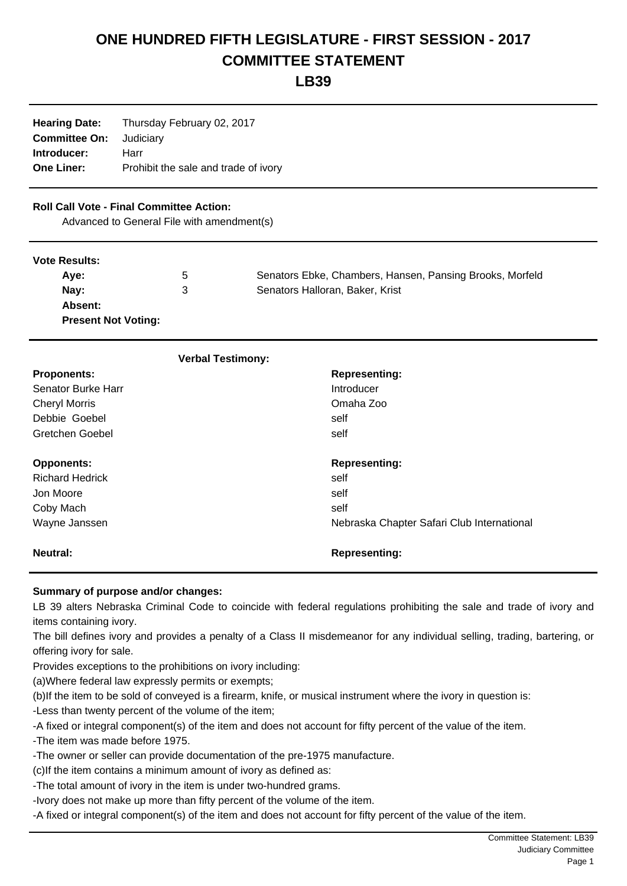# **ONE HUNDRED FIFTH LEGISLATURE - FIRST SESSION - 2017 COMMITTEE STATEMENT**

**LB39**

**Hearing Date:** Thursday February 02, 2017 **Committee On:** Judiciary **Introducer:** Harr **One Liner:** Prohibit the sale and trade of ivory

# **Roll Call Vote - Final Committee Action:**

Advanced to General File with amendment(s)

#### **Vote Results:**

| Ave:                       | 5 | Senators Ebke, Chambers, Hansen, Pansing Brooks, Morfeld |
|----------------------------|---|----------------------------------------------------------|
| Nav:                       | 3 | Senators Halloran, Baker, Krist                          |
| Absent:                    |   |                                                          |
| <b>Present Not Voting:</b> |   |                                                          |

| <b>Verbal Testimony:</b> |                                            |
|--------------------------|--------------------------------------------|
| <b>Proponents:</b>       | <b>Representing:</b>                       |
| Senator Burke Harr       | Introducer                                 |
| <b>Cheryl Morris</b>     | Omaha Zoo                                  |
| Debbie Goebel            | self                                       |
| Gretchen Goebel          | self                                       |
| <b>Opponents:</b>        | <b>Representing:</b>                       |
| <b>Richard Hedrick</b>   | self                                       |
| Jon Moore                | self                                       |
| Coby Mach                | self                                       |
| Wayne Janssen            | Nebraska Chapter Safari Club International |
| Neutral:                 | <b>Representing:</b>                       |

### **Summary of purpose and/or changes:**

LB 39 alters Nebraska Criminal Code to coincide with federal regulations prohibiting the sale and trade of ivory and items containing ivory.

The bill defines ivory and provides a penalty of a Class II misdemeanor for any individual selling, trading, bartering, or offering ivory for sale.

Provides exceptions to the prohibitions on ivory including:

- (a) Where federal law expressly permits or exempts;
- (b) If the item to be sold of conveyed is a firearm, knife, or musical instrument where the ivory in question is:
- Less than twenty percent of the volume of the item;
- A fixed or integral component(s) of the item and does not account for fifty percent of the value of the item.
- The item was made before 1975.
- The owner or seller can provide documentation of the pre-1975 manufacture.
- (c) If the item contains a minimum amount of ivory as defined as:
- The total amount of ivory in the item is under two-hundred grams.
- Ivory does not make up more than fifty percent of the volume of the item.
- A fixed or integral component(s) of the item and does not account for fifty percent of the value of the item.